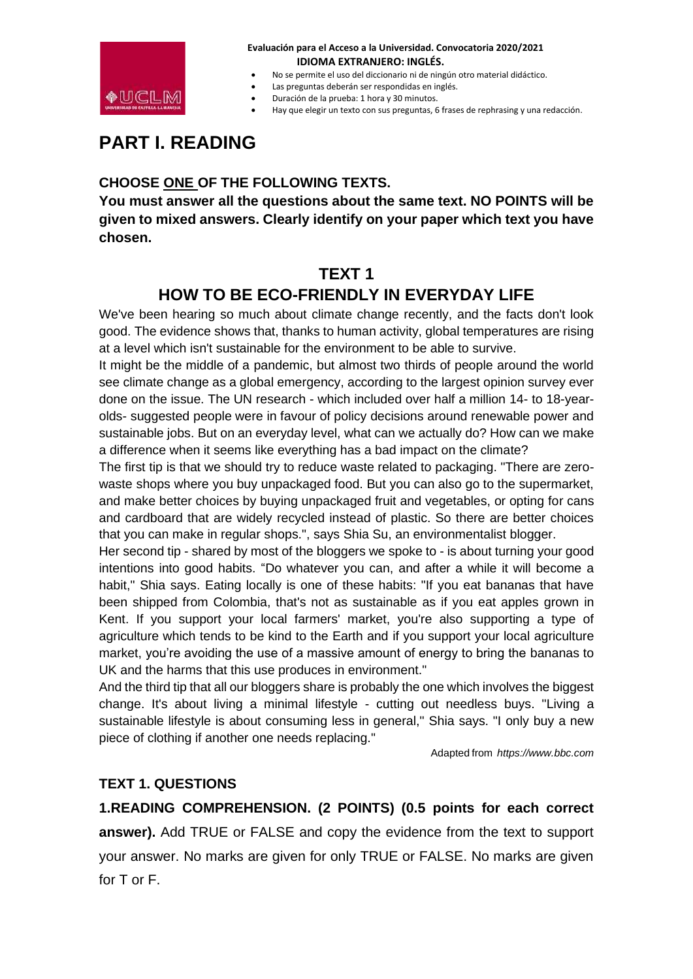

- No se permite el uso del diccionario ni de ningún otro material didáctico.
- Las preguntas deberán ser respondidas en inglés.
- Duración de la prueba: 1 hora y 30 minutos.
- Hay que elegir un texto con sus preguntas, 6 frases de rephrasing y una redacción.

# **PART I. READING**

### **CHOOSE ONE OF THE FOLLOWING TEXTS.**

**You must answer all the questions about the same text. NO POINTS will be given to mixed answers. Clearly identify on your paper which text you have chosen.**

## **TEXT 1**

## **HOW TO BE ECO-FRIENDLY IN EVERYDAY LIFE**

We've been hearing so much about climate change recently, and the facts don't look good. The evidence shows that, thanks to human activity, global temperatures are rising at a level which isn't sustainable for the environment to be able to survive.

It might be the middle of a pandemic, but almost two thirds of people around the world see climate change as a global emergency, according to the largest opinion survey ever done on the issue. The UN research - which included over half a million 14- to 18-yearolds- suggested people were in favour of policy decisions around renewable power and sustainable jobs. But on an everyday level, what can we actually do? How can we make a difference when it seems like everything has a bad impact on the climate?

The first tip is that we should try to reduce waste related to packaging. "There are zerowaste shops where you buy unpackaged food. But you can also go to the supermarket, and make better choices by buying unpackaged fruit and vegetables, or opting for cans and cardboard that are widely recycled instead of plastic. So there are better choices that you can make in regular shops.", says Shia Su, an environmentalist blogger.

Her second tip - shared by most of the bloggers we spoke to - is about turning your good intentions into good habits. "Do whatever you can, and after a while it will become a habit," Shia says. Eating locally is one of these habits: "If you eat bananas that have been shipped from Colombia, that's not as sustainable as if you eat apples grown in Kent. If you support your local farmers' market, you're also supporting a type of agriculture which tends to be kind to the Earth and if you support your local agriculture market, you're avoiding the use of a massive amount of energy to bring the bananas to UK and the harms that this use produces in environment."

And the third tip that all our bloggers share is probably the one which involves the biggest change. It's about living a minimal lifestyle - cutting out needless buys. "Living a sustainable lifestyle is about consuming less in general," Shia says. "I only buy a new piece of clothing if another one needs replacing."

Adapted from *https://www.bbc.com*

### **TEXT 1. QUESTIONS**

**1.READING COMPREHENSION. (2 POINTS) (0.5 points for each correct answer).** Add TRUE or FALSE and copy the evidence from the text to support your answer. No marks are given for only TRUE or FALSE. No marks are given for T or F.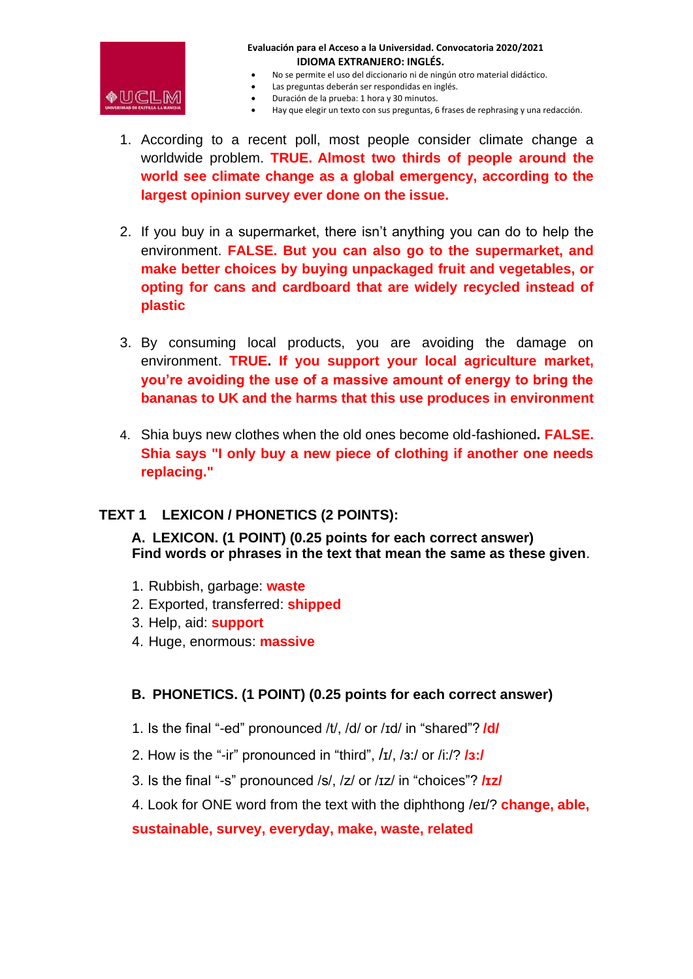

- No se permite el uso del diccionario ni de ningún otro material didáctico.
- Las preguntas deberán ser respondidas en inglés.
- Duración de la prueba: 1 hora y 30 minutos.
- Hay que elegir un texto con sus preguntas, 6 frases de rephrasing y una redacción.
- 1. According to a recent poll, most people consider climate change a worldwide problem. **TRUE. Almost two thirds of people around the world see climate change as a global emergency, according to the largest opinion survey ever done on the issue.**
- 2. If you buy in a supermarket, there isn't anything you can do to help the environment. **FALSE. But you can also go to the supermarket, and make better choices by buying unpackaged fruit and vegetables, or opting for cans and cardboard that are widely recycled instead of plastic**
- 3. By consuming local products, you are avoiding the damage on environment. **TRUE. If you support your local agriculture market, you're avoiding the use of a massive amount of energy to bring the bananas to UK and the harms that this use produces in environment**
- 4. Shia buys new clothes when the old ones become old-fashioned**. FALSE. Shia says "I only buy a new piece of clothing if another one needs replacing."**

### **TEXT 1 LEXICON / PHONETICS (2 POINTS):**

**A. LEXICON. (1 POINT) (0.25 points for each correct answer) Find words or phrases in the text that mean the same as these given**.

- 1. Rubbish, garbage: **waste**
- 2. Exported, transferred: **shipped**
- 3. Help, aid: **support**
- 4. Huge, enormous: **massive**

### **B. PHONETICS. (1 POINT) (0.25 points for each correct answer)**

- 1. Is the final "-ed" pronounced /t/, /d/ or /ɪd/ in "shared"? **/d/**
- 2. How is the "-ir" pronounced in "third", /ɪ/, /ɜ:/ or /i:/? **/ɜ:/**
- 3. Is the final "-s" pronounced /s/, /z/ or /ɪz/ in "choices"? **/ɪz/**
- 4. Look for ONE word from the text with the diphthong /eɪ/? **change, able,**

#### **sustainable, survey, everyday, make, waste, related**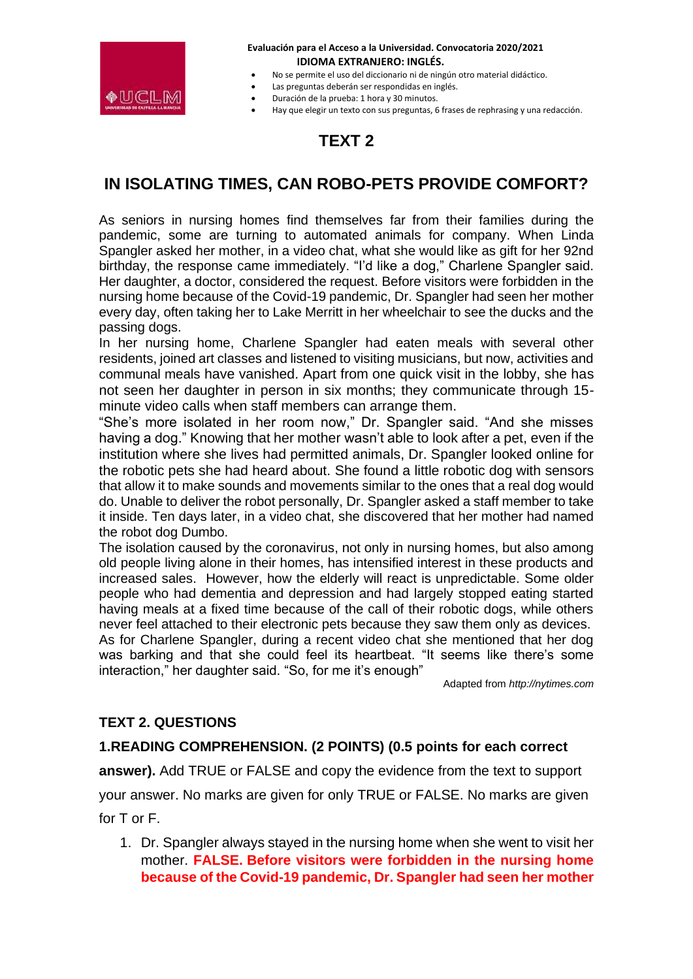

- No se permite el uso del diccionario ni de ningún otro material didáctico.
- Las preguntas deberán ser respondidas en inglés.
- Duración de la prueba: 1 hora y 30 minutos.
- Hay que elegir un texto con sus preguntas, 6 frases de rephrasing y una redacción.

# **TEXT 2**

### **IN ISOLATING TIMES, CAN ROBO-PETS PROVIDE COMFORT?**

As seniors in nursing homes find themselves far from their families during the pandemic, some are turning to automated animals for company. When Linda Spangler asked her mother, in a video chat, what she would like as gift for her 92nd birthday, the response came immediately. "I'd like a dog," Charlene Spangler said. Her daughter, a doctor, considered the request. Before visitors were forbidden in the nursing home because of the Covid-19 pandemic, Dr. Spangler had seen her mother every day, often taking her to Lake Merritt in her wheelchair to see the ducks and the passing dogs.

In her nursing home, Charlene Spangler had eaten meals with several other residents, joined art classes and listened to visiting musicians, but now, activities and communal meals have vanished. Apart from one quick visit in the lobby, she has not seen her daughter in person in six months; they communicate through 15 minute video calls when staff members can arrange them.

"She's more isolated in her room now," Dr. Spangler said. "And she misses having a dog." Knowing that her mother wasn't able to look after a pet, even if the institution where she lives had permitted animals, Dr. Spangler looked online for the robotic pets she had heard about. She found a little robotic dog with sensors that allow it to make sounds and movements similar to the ones that a real dog would do. Unable to deliver the robot personally, Dr. Spangler asked a staff member to take it inside. Ten days later, in a video chat, she discovered that her mother had named the robot dog Dumbo.

The isolation caused by the coronavirus, not only in nursing homes, but also among old people living alone in their homes, has intensified interest in these products and increased sales. However, how the elderly will react is unpredictable. Some older people who had dementia and depression and had largely stopped eating started having meals at a fixed time because of the call of their robotic dogs, while others never feel attached to their electronic pets because they saw them only as devices.

As for Charlene Spangler, during a recent video chat she mentioned that her dog was barking and that she could feel its heartbeat. "It seems like there's some interaction," her daughter said. "So, for me it's enough"

Adapted from *http://nytimes.com*

### **TEXT 2. QUESTIONS**

### **1.READING COMPREHENSION. (2 POINTS) (0.5 points for each correct**

**answer).** Add TRUE or FALSE and copy the evidence from the text to support

your answer. No marks are given for only TRUE or FALSE. No marks are given

for T or F.

1. Dr. Spangler always stayed in the nursing home when she went to visit her mother. **FALSE. Before visitors were forbidden in the nursing home because of the Covid-19 pandemic, Dr. Spangler had seen her mother**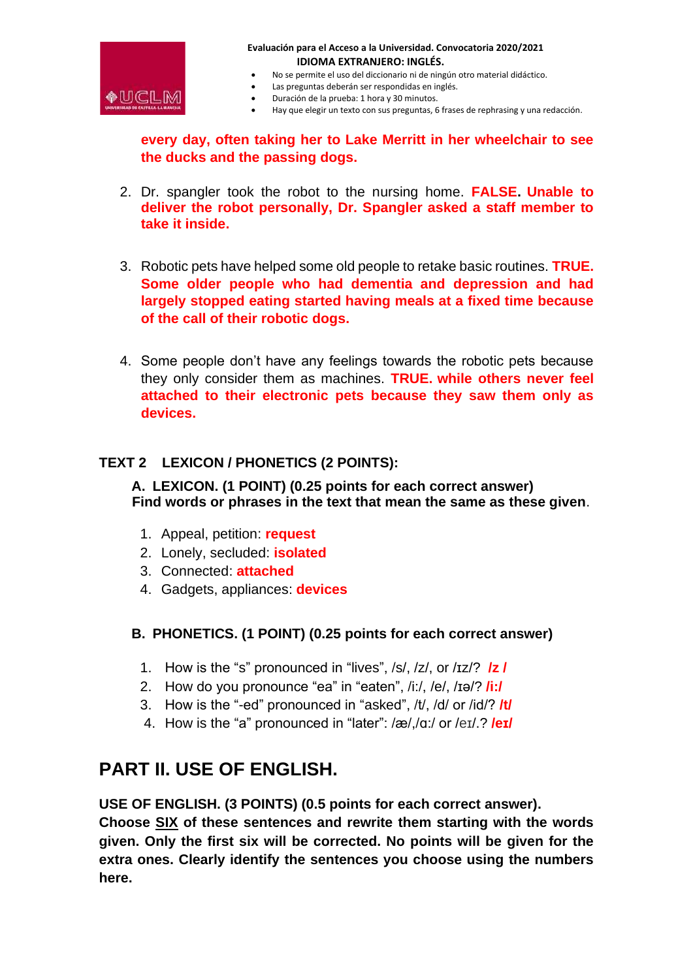

- No se permite el uso del diccionario ni de ningún otro material didáctico.
- Las preguntas deberán ser respondidas en inglés.
- Duración de la prueba: 1 hora y 30 minutos.
- Hay que elegir un texto con sus preguntas, 6 frases de rephrasing y una redacción.

**every day, often taking her to Lake Merritt in her wheelchair to see the ducks and the passing dogs.**

- 2. Dr. spangler took the robot to the nursing home. **FALSE. Unable to deliver the robot personally, Dr. Spangler asked a staff member to take it inside.**
- 3. Robotic pets have helped some old people to retake basic routines. **TRUE. Some older people who had dementia and depression and had largely stopped eating started having meals at a fixed time because of the call of their robotic dogs.**
- 4. Some people don't have any feelings towards the robotic pets because they only consider them as machines. **TRUE. while others never feel attached to their electronic pets because they saw them only as devices.**

### **TEXT 2 LEXICON / PHONETICS (2 POINTS):**

**A. LEXICON. (1 POINT) (0.25 points for each correct answer) Find words or phrases in the text that mean the same as these given**.

- 1. Appeal, petition: **request**
- 2. Lonely, secluded: **isolated**
- 3. Connected: **attached**
- 4. Gadgets, appliances: **devices**
- **B. PHONETICS. (1 POINT) (0.25 points for each correct answer)**
	- 1. How is the "s" pronounced in "lives", /s/, /z/, or /ɪz/? **/z /**
	- 2. How do you pronounce "ea" in "eaten", /i:/, /e/, /ɪə/? **/i:/**
	- 3. How is the "-ed" pronounced in "asked", /t/, /d/ or /id/? **/t/**
	- 4. How is the "a" pronounced in "later": /æ/,/ɑ:/ or /eɪ/.? **/eɪ/**

# **PART II. USE OF ENGLISH.**

**USE OF ENGLISH. (3 POINTS) (0.5 points for each correct answer).**

**Choose SIX of these sentences and rewrite them starting with the words given. Only the first six will be corrected. No points will be given for the extra ones. Clearly identify the sentences you choose using the numbers here.**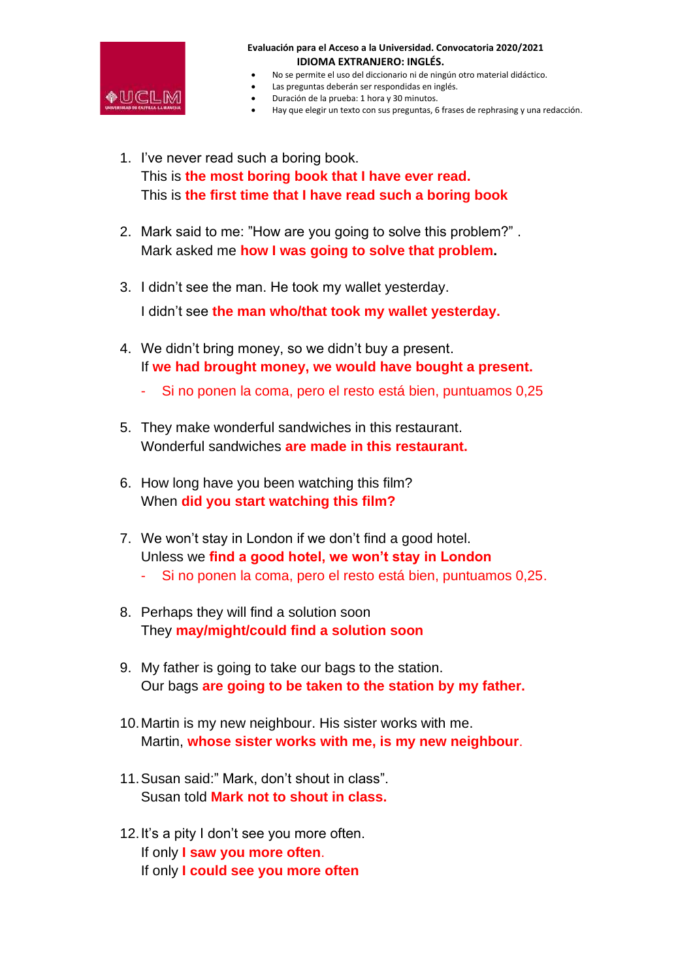

- No se permite el uso del diccionario ni de ningún otro material didáctico.
- Las preguntas deberán ser respondidas en inglés.
- Duración de la prueba: 1 hora y 30 minutos.
- Hay que elegir un texto con sus preguntas, 6 frases de rephrasing y una redacción.
- 1. I've never read such a boring book. This is **the most boring book that I have ever read.** This is **the first time that I have read such a boring book**
- 2. Mark said to me: "How are you going to solve this problem?" . Mark asked me **how I was going to solve that problem.**
- 3. I didn't see the man. He took my wallet yesterday.

I didn't see **the man who/that took my wallet yesterday.**

- 4. We didn't bring money, so we didn't buy a present. If **we had brought money, we would have bought a present.**
	- Si no ponen la coma, pero el resto está bien, puntuamos 0,25
- 5. They make wonderful sandwiches in this restaurant. Wonderful sandwiches **are made in this restaurant.**
- 6. How long have you been watching this film? When **did you start watching this film?**
- 7. We won't stay in London if we don't find a good hotel. Unless we **find a good hotel, we won't stay in London**
	- Si no ponen la coma, pero el resto está bien, puntuamos 0,25.
- 8. Perhaps they will find a solution soon They **may/might/could find a solution soon**
- 9. My father is going to take our bags to the station. Our bags **are going to be taken to the station by my father.**
- 10.Martin is my new neighbour. His sister works with me. Martin, **whose sister works with me, is my new neighbour**.
- 11.Susan said:" Mark, don't shout in class". Susan told **Mark not to shout in class.**
- 12.It's a pity I don't see you more often. If only **I saw you more often**. If only **I could see you more often**